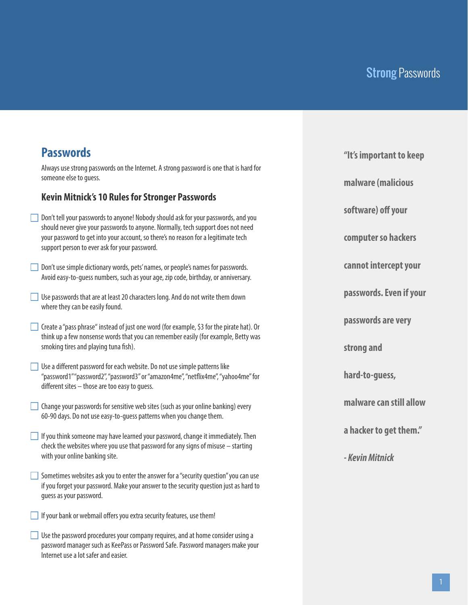## **Passwords**

Always use strong passwords on the Internet. A strong password is one that is hard for someone else to quess.

#### **Kevin Mitnick's 10 Rules for Stronger Passwords**

- Don't tell your passwords to anyone! Nobody should ask for your passwords, and you should never give your passwords to anyone. Normally, tech support does not need your password to get into your account, so there's no reason for a legitimate tech support person to ever ask for your password.
- Don't use simple dictionary words, pets' names, or people's names for passwords. Avoid easy-to-guess numbers, such as your age, zip code, birthday, or anniversary.
- Use passwords that are at least 20 characters long. And do not write them down where they can be easily found.
- Create a "pass phrase" instead of just one word (for example, \$3 for the pirate hat). Or think up a few nonsense words that you can remember easily (for example, Betty was smoking tires and playing tuna fish).
- $\Box$  Use a different password for each website. Do not use simple patterns like "password1" "password2", "password3" or "amazon4me", "netix4me", "yahoo4me" for different sites  $-$  those are too easy to quess.
- Change your passwords for sensitive web sites (such as your online banking) every 60-90 days. Do not use easy-to-guess patterns when you change them.
- $\Box$  If you think someone may have learned your password, change it immediately. Then check the websites where you use that password for any signs of misuse – starting with your online banking site.
- $\Box$  Sometimes websites ask you to enter the answer for a "security question" you can use if you forget your password. Make your answer to the security question just as hard to guess as your password.
- $\Box$  If your bank or webmail offers you extra security features, use them!
- Use the password procedures your company requires, and at home consider using a password manager such as KeePass or Password Safe. Password managers make your Internet use a lot safer and easier.

**"It's important to keep** 

**malware (malicious** 

software) off your

**computer so hackers** 

**cannot intercept your** 

**passwords. Even if your** 

**passwords are very** 

**strong and** 

**hard-to-guess,** 

**malware can still allow** 

**a hacker to get them."**

*- Kevin Mitnick*